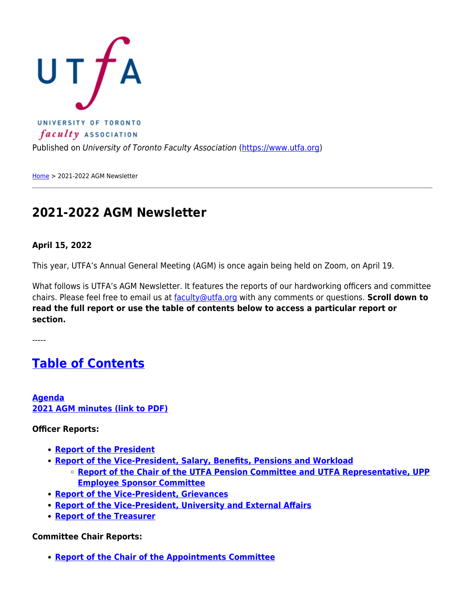

[Home](https://www.utfa.org/) > 2021-2022 AGM Newsletter

### **2021-2022 AGM Newsletter**

#### **April 15, 2022**

This year, UTFA's Annual General Meeting (AGM) is once again being held on Zoom, on April 19.

What follows is UTFA's AGM Newsletter. It features the reports of our hardworking officers and committee chairs. Please feel free to email us at [faculty@utfa.org](mailto:faculty@utfa.org) with any comments or questions. **Scroll down to read the full report or use the table of contents below to access a particular report or section.**

-----

### <span id="page-0-0"></span>**[Table of Contents](#page-0-0)**

**[Agenda](https://www.utfa.org/content/2021-2022-agm-2022-agenda) [2021 AGM minutes \(link to PDF\)](https://www.utfa.org/sites/default/files/april_27_2021_agm_minutes.pdf)**

#### **Officer Reports:**

- **[Report of the President](#page-1-0)**
- **[Report of the Vice-President, Salary, Benefits, Pensions and Workload](#page-8-0)**
	- **[Report of the Chair of the UTFA Pension Committee and UTFA Representative, UPP](#page-12-0) [Employee Sponsor Committee](#page-12-0)**
- **[Report of the Vice-President, Grievances](#page-13-0)**
- **[Report of the Vice-President, University and External Affairs](#page-14-0)**
- **[Report of the Treasurer](#page-16-0)**

**Committee Chair Reports:**

**[Report of the Chair of the Appointments Committee](#page-16-1)**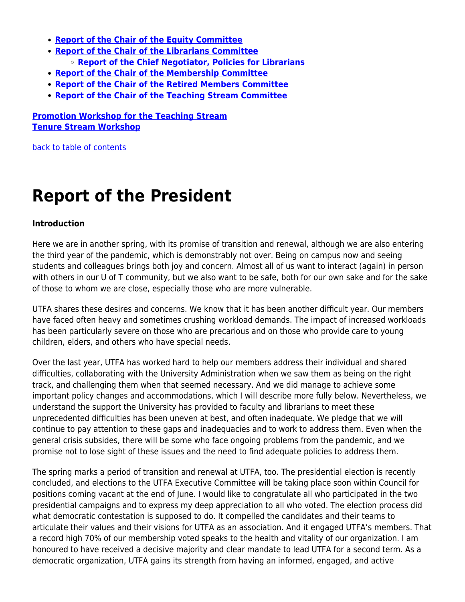- **[Report of the Chair of the Equity Committee](#page-17-0)**
- **[Report of the Chair of the Librarians Committee](#page-19-0) [Report of the Chief Negotiator, Policies for Librarians](#page-20-0)**
- **[Report of the Chair of the Membership Committee](#page-20-1)**
- **[Report of the Chair of the Retired Members Committee](#page-21-0)**
- **[Report of the Chair of the Teaching Stream Committee](#page-22-0)**

**[Promotion Workshop for the Teaching Stream](#page-23-0) [Tenure Stream Workshop](#page-24-0)**

[back to table of contents](#page-0-0)

### <span id="page-1-0"></span>**Report of the President**

#### **Introduction**

Here we are in another spring, with its promise of transition and renewal, although we are also entering the third year of the pandemic, which is demonstrably not over. Being on campus now and seeing students and colleagues brings both joy and concern. Almost all of us want to interact (again) in person with others in our U of T community, but we also want to be safe, both for our own sake and for the sake of those to whom we are close, especially those who are more vulnerable.

UTFA shares these desires and concerns. We know that it has been another difficult year. Our members have faced often heavy and sometimes crushing workload demands. The impact of increased workloads has been particularly severe on those who are precarious and on those who provide care to young children, elders, and others who have special needs.

Over the last year, UTFA has worked hard to help our members address their individual and shared difficulties, collaborating with the University Administration when we saw them as being on the right track, and challenging them when that seemed necessary. And we did manage to achieve some important policy changes and accommodations, which I will describe more fully below. Nevertheless, we understand the support the University has provided to faculty and librarians to meet these unprecedented difficulties has been uneven at best, and often inadequate. We pledge that we will continue to pay attention to these gaps and inadequacies and to work to address them. Even when the general crisis subsides, there will be some who face ongoing problems from the pandemic, and we promise not to lose sight of these issues and the need to find adequate policies to address them.

The spring marks a period of transition and renewal at UTFA, too. The presidential election is recently concluded, and elections to the UTFA Executive Committee will be taking place soon within Council for positions coming vacant at the end of June. I would like to congratulate all who participated in the two presidential campaigns and to express my deep appreciation to all who voted. The election process did what democratic contestation is supposed to do. It compelled the candidates and their teams to articulate their values and their visions for UTFA as an association. And it engaged UTFA's members. That a record high 70% of our membership voted speaks to the health and vitality of our organization. I am honoured to have received a decisive majority and clear mandate to lead UTFA for a second term. As a democratic organization, UTFA gains its strength from having an informed, engaged, and active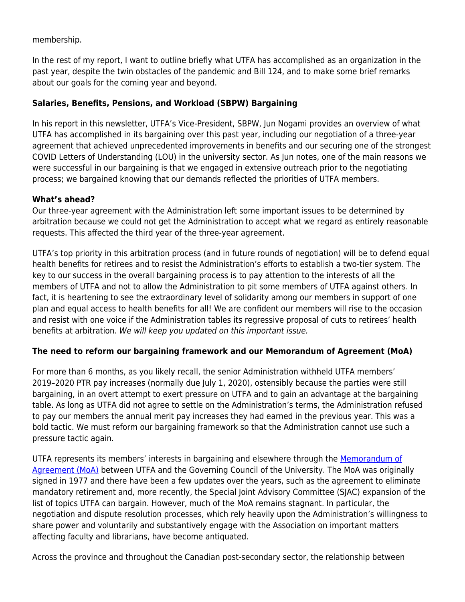membership.

In the rest of my report, I want to outline briefly what UTFA has accomplished as an organization in the past year, despite the twin obstacles of the pandemic and Bill 124, and to make some brief remarks about our goals for the coming year and beyond.

#### **Salaries, Benefits, Pensions, and Workload (SBPW) Bargaining**

In his report in this newsletter, UTFA's Vice-President, SBPW, Jun Nogami provides an overview of what UTFA has accomplished in its bargaining over this past year, including our negotiation of a three-year agreement that achieved unprecedented improvements in benefits and our securing one of the strongest COVID Letters of Understanding (LOU) in the university sector. As Jun notes, one of the main reasons we were successful in our bargaining is that we engaged in extensive outreach prior to the negotiating process; we bargained knowing that our demands reflected the priorities of UTFA members.

#### **What's ahead?**

Our three-year agreement with the Administration left some important issues to be determined by arbitration because we could not get the Administration to accept what we regard as entirely reasonable requests. This affected the third year of the three-year agreement.

UTFA's top priority in this arbitration process (and in future rounds of negotiation) will be to defend equal health benefits for retirees and to resist the Administration's efforts to establish a two-tier system. The key to our success in the overall bargaining process is to pay attention to the interests of all the members of UTFA and not to allow the Administration to pit some members of UTFA against others. In fact, it is heartening to see the extraordinary level of solidarity among our members in support of one plan and equal access to health benefits for all! We are confident our members will rise to the occasion and resist with one voice if the Administration tables its regressive proposal of cuts to retirees' health benefits at arbitration. We will keep you updated on this important issue.

#### **The need to reform our bargaining framework and our Memorandum of Agreement (MoA)**

For more than 6 months, as you likely recall, the senior Administration withheld UTFA members' 2019–2020 PTR pay increases (normally due July 1, 2020), ostensibly because the parties were still bargaining, in an overt attempt to exert pressure on UTFA and to gain an advantage at the bargaining table. As long as UTFA did not agree to settle on the Administration's terms, the Administration refused to pay our members the annual merit pay increases they had earned in the previous year. This was a bold tactic. We must reform our bargaining framework so that the Administration cannot use such a pressure tactic again.

UTFA represents its members' interests in bargaining and elsewhere through the [Memorandum of](https://www.utfa.org/sites/default/files/UTFA-MoA-2016.pdf) [Agreement \(MoA\)](https://www.utfa.org/sites/default/files/UTFA-MoA-2016.pdf) between UTFA and the Governing Council of the University. The MoA was originally signed in 1977 and there have been a few updates over the years, such as the agreement to eliminate mandatory retirement and, more recently, the Special Joint Advisory Committee (SJAC) expansion of the list of topics UTFA can bargain. However, much of the MoA remains stagnant. In particular, the negotiation and dispute resolution processes, which rely heavily upon the Administration's willingness to share power and voluntarily and substantively engage with the Association on important matters affecting faculty and librarians, have become antiquated.

Across the province and throughout the Canadian post-secondary sector, the relationship between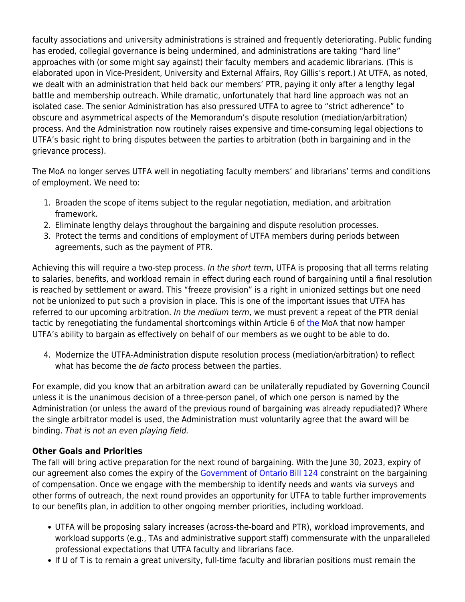faculty associations and university administrations is strained and frequently deteriorating. Public funding has eroded, collegial governance is being undermined, and administrations are taking "hard line" approaches with (or some might say against) their faculty members and academic librarians. (This is elaborated upon in Vice-President, University and External Affairs, Roy Gillis's report.) At UTFA, as noted, we dealt with an administration that held back our members' PTR, paying it only after a lengthy legal battle and membership outreach. While dramatic, unfortunately that hard line approach was not an isolated case. The senior Administration has also pressured UTFA to agree to "strict adherence" to obscure and asymmetrical aspects of the Memorandum's dispute resolution (mediation/arbitration) process. And the Administration now routinely raises expensive and time-consuming legal objections to UTFA's basic right to bring disputes between the parties to arbitration (both in bargaining and in the grievance process).

The MoA no longer serves UTFA well in negotiating faculty members' and librarians' terms and conditions of employment. We need to:

- 1. Broaden the scope of items subject to the regular negotiation, mediation, and arbitration framework.
- 2. Eliminate lengthy delays throughout the bargaining and dispute resolution processes.
- 3. Protect the terms and conditions of employment of UTFA members during periods between agreements, such as the payment of PTR.

Achieving this will require a two-step process. In the short term, UTFA is proposing that all terms relating to salaries, benefits, and workload remain in effect during each round of bargaining until a final resolution is reached by settlement or award. This "freeze provision" is a right in unionized settings but one need not be unionized to put such a provision in place. This is one of the important issues that UTFA has referred to our upcoming arbitration. In the medium term, we must prevent a repeat of the PTR denial tactic by renegotiating [the](https://www.utfa.org/sites/default/files/UTFA-MoA-2016.pdf) fundamental shortcomings within Article 6 of the MoA that now hamper UTFA's ability to bargain as effectively on behalf of our members as we ought to be able to do.

4. Modernize the UTFA-Administration dispute resolution process (mediation/arbitration) to reflect what has become the de facto process between the parties.

For example, did you know that an arbitration award can be unilaterally repudiated by Governing Council unless it is the unanimous decision of a three-person panel, of which one person is named by the Administration (or unless the award of the previous round of bargaining was already repudiated)? Where the single arbitrator model is used, the Administration must voluntarily agree that the award will be binding. That is not an even playing field.

#### **Other Goals and Priorities**

The fall will bring active preparation for the next round of bargaining. With the June 30, 2023, expiry of our agreement also comes the expiry of the [Government of Ontario Bill 124](https://www.ola.org/en/legislative-business/bills/parliament-42/session-1/bill-124) constraint on the bargaining of compensation. Once we engage with the membership to identify needs and wants via surveys and other forms of outreach, the next round provides an opportunity for UTFA to table further improvements to our benefits plan, in addition to other ongoing member priorities, including workload.

- UTFA will be proposing salary increases (across-the-board and PTR), workload improvements, and workload supports (e.g., TAs and administrative support staff) commensurate with the unparalleled professional expectations that UTFA faculty and librarians face.
- If U of T is to remain a great university, full-time faculty and librarian positions must remain the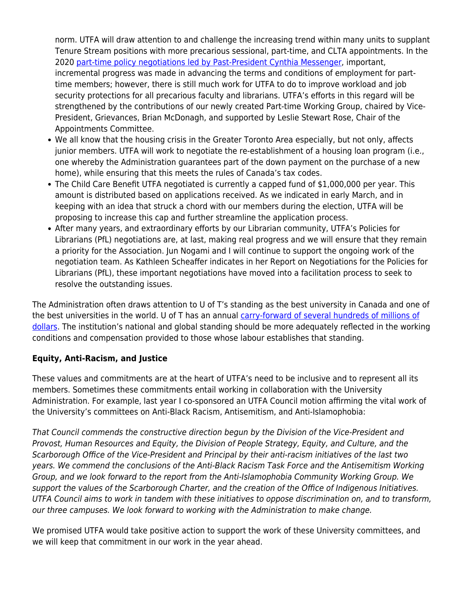norm. UTFA will draw attention to and challenge the increasing trend within many units to supplant Tenure Stream positions with more precarious sessional, part-time, and CLTA appointments. In the 2020 [part-time policy negotiations led by Past-President Cynthia Messenger,](https://www.utfa.org/content/utfa-has-negotiated-part-time-policy-improvements) important, incremental progress was made in advancing the terms and conditions of employment for parttime members; however, there is still much work for UTFA to do to improve workload and job security protections for all precarious faculty and librarians. UTFA's efforts in this regard will be strengthened by the contributions of our newly created Part-time Working Group, chaired by Vice-President, Grievances, Brian McDonagh, and supported by Leslie Stewart Rose, Chair of the Appointments Committee.

- We all know that the housing crisis in the Greater Toronto Area especially, but not only, affects junior members. UTFA will work to negotiate the re-establishment of a housing loan program (i.e., one whereby the Administration guarantees part of the down payment on the purchase of a new home), while ensuring that this meets the rules of Canada's tax codes.
- The Child Care Benefit UTFA negotiated is currently a capped fund of \$1,000,000 per year. This amount is distributed based on applications received. As we indicated in early March, and in keeping with an idea that struck a chord with our members during the election, UTFA will be proposing to increase this cap and further streamline the application process.
- After many years, and extraordinary efforts by our Librarian community, UTFA's Policies for Librarians (PfL) negotiations are, at last, making real progress and we will ensure that they remain a priority for the Association. Jun Nogami and I will continue to support the ongoing work of the negotiation team. As Kathleen Scheaffer indicates in her Report on Negotiations for the Policies for Librarians (PfL), these important negotiations have moved into a facilitation process to seek to resolve the outstanding issues.

The Administration often draws attention to U of T's standing as the best university in Canada and one of the best universities in the world. U of T has an annual [carry-forward of several hundreds of millions of](https://finance.utoronto.ca/wp-content/uploads/2020f.pdf) [dollars.](https://finance.utoronto.ca/wp-content/uploads/2020f.pdf) The institution's national and global standing should be more adequately reflected in the working conditions and compensation provided to those whose labour establishes that standing.

#### **Equity, Anti-Racism, and Justice**

These values and commitments are at the heart of UTFA's need to be inclusive and to represent all its members. Sometimes these commitments entail working in collaboration with the University Administration. For example, last year I co-sponsored an UTFA Council motion affirming the vital work of the University's committees on Anti-Black Racism, Antisemitism, and Anti-Islamophobia:

That Council commends the constructive direction begun by the Division of the Vice-President and Provost, Human Resources and Equity, the Division of People Strategy, Equity, and Culture, and the Scarborough Office of the Vice-President and Principal by their anti-racism initiatives of the last two years. We commend the conclusions of the Anti-Black Racism Task Force and the Antisemitism Working Group, and we look forward to the report from the Anti-Islamophobia Community Working Group. We support the values of the Scarborough Charter, and the creation of the Office of Indigenous Initiatives. UTFA Council aims to work in tandem with these initiatives to oppose discrimination on, and to transform, our three campuses. We look forward to working with the Administration to make change.

We promised UTFA would take positive action to support the work of these University committees, and we will keep that commitment in our work in the year ahead.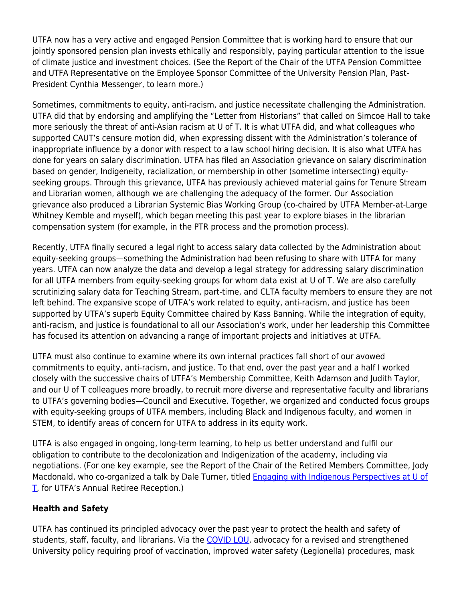UTFA now has a very active and engaged Pension Committee that is working hard to ensure that our jointly sponsored pension plan invests ethically and responsibly, paying particular attention to the issue of climate justice and investment choices. (See the Report of the Chair of the UTFA Pension Committee and UTFA Representative on the Employee Sponsor Committee of the University Pension Plan, Past-President Cynthia Messenger, to learn more.)

Sometimes, commitments to equity, anti-racism, and justice necessitate challenging the Administration. UTFA did that by endorsing and amplifying the "Letter from Historians" that called on Simcoe Hall to take more seriously the threat of anti-Asian racism at U of T. It is what UTFA did, and what colleagues who supported CAUT's censure motion did, when expressing dissent with the Administration's tolerance of inappropriate influence by a donor with respect to a law school hiring decision. It is also what UTFA has done for years on salary discrimination. UTFA has filed an Association grievance on salary discrimination based on gender, Indigeneity, racialization, or membership in other (sometime intersecting) equityseeking groups. Through this grievance, UTFA has previously achieved material gains for Tenure Stream and Librarian women, although we are challenging the adequacy of the former. Our Association grievance also produced a Librarian Systemic Bias Working Group (co-chaired by UTFA Member-at-Large Whitney Kemble and myself), which began meeting this past year to explore biases in the librarian compensation system (for example, in the PTR process and the promotion process).

Recently, UTFA finally secured a legal right to access salary data collected by the Administration about equity-seeking groups—something the Administration had been refusing to share with UTFA for many years. UTFA can now analyze the data and develop a legal strategy for addressing salary discrimination for all UTFA members from equity-seeking groups for whom data exist at U of T. We are also carefully scrutinizing salary data for Teaching Stream, part-time, and CLTA faculty members to ensure they are not left behind. The expansive scope of UTFA's work related to equity, anti-racism, and justice has been supported by UTFA's superb Equity Committee chaired by Kass Banning. While the integration of equity, anti-racism, and justice is foundational to all our Association's work, under her leadership this Committee has focused its attention on advancing a range of important projects and initiatives at UTFA.

UTFA must also continue to examine where its own internal practices fall short of our avowed commitments to equity, anti-racism, and justice. To that end, over the past year and a half I worked closely with the successive chairs of UTFA's Membership Committee, Keith Adamson and Judith Taylor, and our U of T colleagues more broadly, to recruit more diverse and representative faculty and librarians to UTFA's governing bodies—Council and Executive. Together, we organized and conducted focus groups with equity-seeking groups of UTFA members, including Black and Indigenous faculty, and women in STEM, to identify areas of concern for UTFA to address in its equity work.

UTFA is also engaged in ongoing, long-term learning, to help us better understand and fulfil our obligation to contribute to the decolonization and Indigenization of the academy, including via negotiations. (For one key example, see the Report of the Chair of the Retired Members Committee, Jody Macdonald, who co-organized a talk by Dale Turner, titled **[Engaging with Indigenous Perspectives at U of](https://www.utfa.org/sites/default/files/dale-turner_0.m4a)** [T,](https://www.utfa.org/sites/default/files/dale-turner_0.m4a) for UTFA's Annual Retiree Reception.)

#### **Health and Safety**

UTFA has continued its principled advocacy over the past year to protect the health and safety of students, staff, faculty, and librarians. Via the [COVID LOU](https://www.utfa.org/content/utfa-council-ratifies-covid-lou-agreement-reached-administration), advocacy for a revised and strengthened University policy requiring proof of vaccination, improved water safety (Legionella) procedures, mask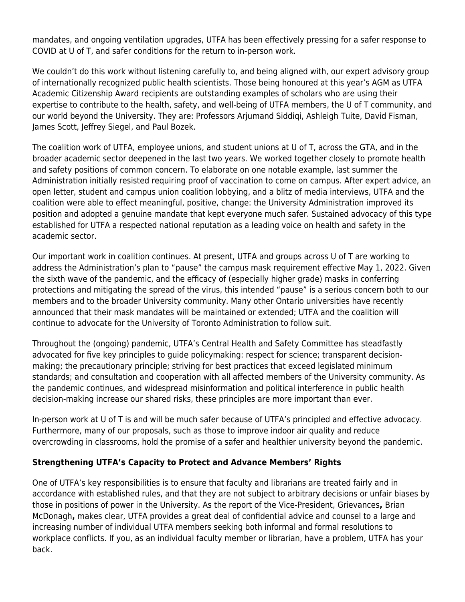mandates, and ongoing ventilation upgrades, UTFA has been effectively pressing for a safer response to COVID at U of T, and safer conditions for the return to in-person work.

We couldn't do this work without listening carefully to, and being aligned with, our expert advisory group of internationally recognized public health scientists. Those being honoured at this year's AGM as UTFA Academic Citizenship Award recipients are outstanding examples of scholars who are using their expertise to contribute to the health, safety, and well-being of UTFA members, the U of T community, and our world beyond the University. They are: Professors Arjumand Siddiqi, Ashleigh Tuite, David Fisman, James Scott, Jeffrey Siegel, and Paul Bozek.

The coalition work of UTFA, employee unions, and student unions at U of T, across the GTA, and in the broader academic sector deepened in the last two years. We worked together closely to promote health and safety positions of common concern. To elaborate on one notable example, last summer the Administration initially resisted requiring proof of vaccination to come on campus. After expert advice, an open letter, student and campus union coalition lobbying, and a blitz of media interviews, UTFA and the coalition were able to effect meaningful, positive, change: the University Administration improved its position and adopted a genuine mandate that kept everyone much safer. Sustained advocacy of this type established for UTFA a respected national reputation as a leading voice on health and safety in the academic sector.

Our important work in coalition continues. At present, UTFA and groups across U of T are working to address the Administration's plan to "pause" the campus mask requirement effective May 1, 2022. Given the sixth wave of the pandemic, and the efficacy of (especially higher grade) masks in conferring protections and mitigating the spread of the virus, this intended "pause" is a serious concern both to our members and to the broader University community. Many other Ontario universities have recently announced that their mask mandates will be maintained or extended; UTFA and the coalition will continue to advocate for the University of Toronto Administration to follow suit.

Throughout the (ongoing) pandemic, UTFA's Central Health and Safety Committee has steadfastly advocated for five key principles to guide policymaking: respect for science; transparent decisionmaking; the precautionary principle; striving for best practices that exceed legislated minimum standards; and consultation and cooperation with all affected members of the University community. As the pandemic continues, and widespread misinformation and political interference in public health decision-making increase our shared risks, these principles are more important than ever.

In-person work at U of T is and will be much safer because of UTFA's principled and effective advocacy. Furthermore, many of our proposals, such as those to improve indoor air quality and reduce overcrowding in classrooms, hold the promise of a safer and healthier university beyond the pandemic.

#### **Strengthening UTFA's Capacity to Protect and Advance Members' Rights**

One of UTFA's key responsibilities is to ensure that faculty and librarians are treated fairly and in accordance with established rules, and that they are not subject to arbitrary decisions or unfair biases by those in positions of power in the University. As the report of the Vice-President, Grievances**,** Brian McDonagh**,** makes clear, UTFA provides a great deal of confidential advice and counsel to a large and increasing number of individual UTFA members seeking both informal and formal resolutions to workplace conflicts. If you, as an individual faculty member or librarian, have a problem, UTFA has your back.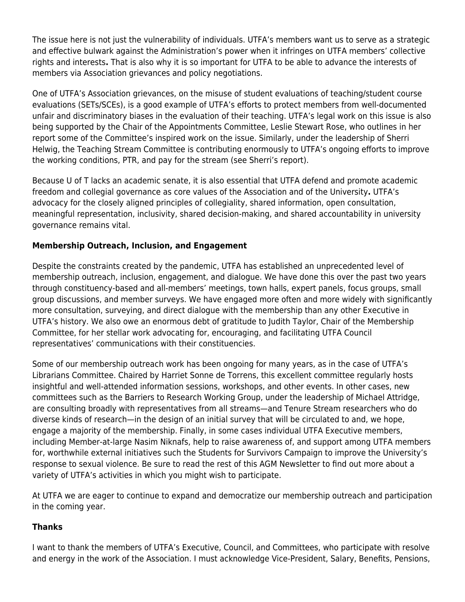The issue here is not just the vulnerability of individuals. UTFA's members want us to serve as a strategic and effective bulwark against the Administration's power when it infringes on UTFA members' collective rights and interests**.** That is also why it is so important for UTFA to be able to advance the interests of members via Association grievances and policy negotiations.

One of UTFA's Association grievances, on the misuse of student evaluations of teaching/student course evaluations (SETs/SCEs), is a good example of UTFA's efforts to protect members from well-documented unfair and discriminatory biases in the evaluation of their teaching. UTFA's legal work on this issue is also being supported by the Chair of the Appointments Committee, Leslie Stewart Rose, who outlines in her report some of the Committee's inspired work on the issue. Similarly, under the leadership of Sherri Helwig, the Teaching Stream Committee is contributing enormously to UTFA's ongoing efforts to improve the working conditions, PTR, and pay for the stream (see Sherri's report).

Because U of T lacks an academic senate, it is also essential that UTFA defend and promote academic freedom and collegial governance as core values of the Association and of the University**.** UTFA's advocacy for the closely aligned principles of collegiality, shared information, open consultation, meaningful representation, inclusivity, shared decision-making, and shared accountability in university governance remains vital.

#### **Membership Outreach, Inclusion, and Engagement**

Despite the constraints created by the pandemic, UTFA has established an unprecedented level of membership outreach, inclusion, engagement, and dialogue. We have done this over the past two years through constituency-based and all-members' meetings, town halls, expert panels, focus groups, small group discussions, and member surveys. We have engaged more often and more widely with significantly more consultation, surveying, and direct dialogue with the membership than any other Executive in UTFA's history. We also owe an enormous debt of gratitude to Judith Taylor, Chair of the Membership Committee, for her stellar work advocating for, encouraging, and facilitating UTFA Council representatives' communications with their constituencies.

Some of our membership outreach work has been ongoing for many years, as in the case of UTFA's Librarians Committee. Chaired by Harriet Sonne de Torrens, this excellent committee regularly hosts insightful and well-attended information sessions, workshops, and other events. In other cases, new committees such as the Barriers to Research Working Group, under the leadership of Michael Attridge, are consulting broadly with representatives from all streams—and Tenure Stream researchers who do diverse kinds of research—in the design of an initial survey that will be circulated to and, we hope, engage a majority of the membership. Finally, in some cases individual UTFA Executive members, including Member-at-large Nasim Niknafs, help to raise awareness of, and support among UTFA members for, worthwhile external initiatives such the Students for Survivors Campaign to improve the University's response to sexual violence. Be sure to read the rest of this AGM Newsletter to find out more about a variety of UTFA's activities in which you might wish to participate.

At UTFA we are eager to continue to expand and democratize our membership outreach and participation in the coming year.

#### **Thanks**

I want to thank the members of UTFA's Executive, Council, and Committees, who participate with resolve and energy in the work of the Association. I must acknowledge Vice-President, Salary, Benefits, Pensions,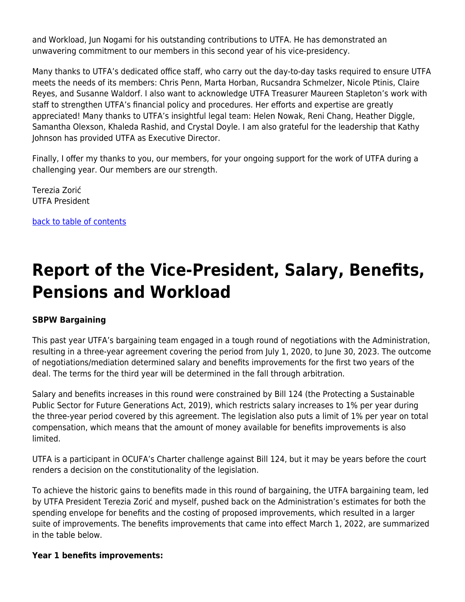and Workload, Jun Nogami for his outstanding contributions to UTFA. He has demonstrated an unwavering commitment to our members in this second year of his vice-presidency.

Many thanks to UTFA's dedicated office staff, who carry out the day-to-day tasks required to ensure UTFA meets the needs of its members: Chris Penn, Marta Horban, Rucsandra Schmelzer, Nicole Ptinis, Claire Reyes, and Susanne Waldorf. I also want to acknowledge UTFA Treasurer Maureen Stapleton's work with staff to strengthen UTFA's financial policy and procedures. Her efforts and expertise are greatly appreciated! Many thanks to UTFA's insightful legal team: Helen Nowak, Reni Chang, Heather Diggle, Samantha Olexson, Khaleda Rashid, and Crystal Doyle. I am also grateful for the leadership that Kathy Johnson has provided UTFA as Executive Director.

Finally, I offer my thanks to you, our members, for your ongoing support for the work of UTFA during a challenging year. Our members are our strength.

Terezia Zorić UTFA President

[back to table of contents](#page-0-0)

# <span id="page-8-0"></span>**Report of the Vice-President, Salary, Benefits, Pensions and Workload**

#### **SBPW Bargaining**

This past year UTFA's bargaining team engaged in a tough round of negotiations with the Administration, resulting in a three-year agreement covering the period from July 1, 2020, to June 30, 2023. The outcome of negotiations/mediation determined salary and benefits improvements for the first two years of the deal. The terms for the third year will be determined in the fall through arbitration.

Salary and benefits increases in this round were constrained by Bill 124 (the Protecting a Sustainable Public Sector for Future Generations Act, 2019), which restricts salary increases to 1% per year during the three-year period covered by this agreement. The legislation also puts a limit of 1% per year on total compensation, which means that the amount of money available for benefits improvements is also limited.

UTFA is a participant in OCUFA's Charter challenge against Bill 124, but it may be years before the court renders a decision on the constitutionality of the legislation.

To achieve the historic gains to benefits made in this round of bargaining, the UTFA bargaining team, led by UTFA President Terezia Zorić and myself, pushed back on the Administration's estimates for both the spending envelope for benefits and the costing of proposed improvements, which resulted in a larger suite of improvements. The benefits improvements that came into effect March 1, 2022, are summarized in the table below.

#### **Year 1 benefits improvements:**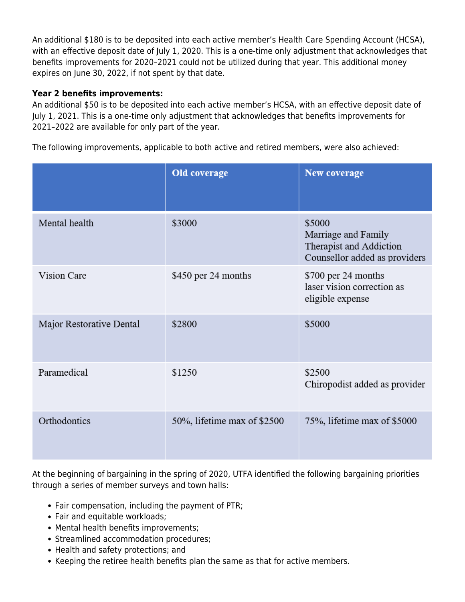An additional \$180 is to be deposited into each active member's Health Care Spending Account (HCSA), with an effective deposit date of July 1, 2020. This is a one-time only adjustment that acknowledges that benefits improvements for 2020–2021 could not be utilized during that year. This additional money expires on June 30, 2022, if not spent by that date.

#### **Year 2 benefits improvements:**

An additional \$50 is to be deposited into each active member's HCSA, with an effective deposit date of July 1, 2021. This is a one-time only adjustment that acknowledges that benefits improvements for 2021–2022 are available for only part of the year.

The following improvements, applicable to both active and retired members, were also achieved:

|                          | Old coverage                | <b>New coverage</b>                                                                       |
|--------------------------|-----------------------------|-------------------------------------------------------------------------------------------|
| Mental health            | \$3000                      | \$5000<br>Marriage and Family<br>Therapist and Addiction<br>Counsellor added as providers |
| Vision Care              | \$450 per 24 months         | \$700 per 24 months<br>laser vision correction as<br>eligible expense                     |
| Major Restorative Dental | \$2800                      | \$5000                                                                                    |
| Paramedical              | \$1250                      | \$2500<br>Chiropodist added as provider                                                   |
| Orthodontics             | 50%, lifetime max of \$2500 | 75%, lifetime max of \$5000                                                               |

At the beginning of bargaining in the spring of 2020, UTFA identified the following bargaining priorities through a series of member surveys and town halls:

- Fair compensation, including the payment of PTR;
- Fair and equitable workloads;
- Mental health benefits improvements;
- Streamlined accommodation procedures;
- Health and safety protections; and
- Keeping the retiree health benefits plan the same as that for active members.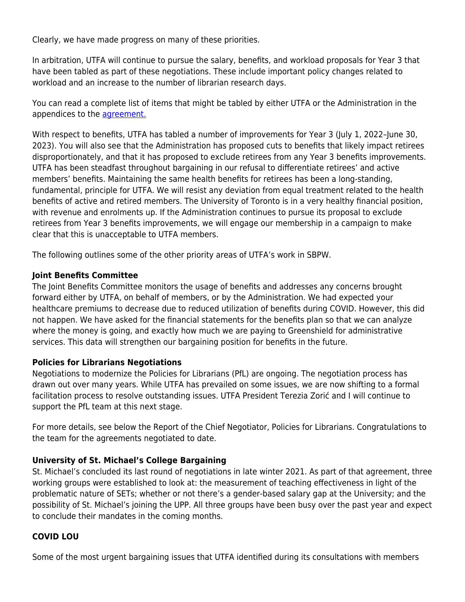Clearly, we have made progress on many of these priorities.

In arbitration, UTFA will continue to pursue the salary, benefits, and workload proposals for Year 3 that have been tabled as part of these negotiations. These include important policy changes related to workload and an increase to the number of librarian research days.

You can read a complete list of items that might be tabled by either UTFA or the Administration in the appendices to the [agreement.](https://www.utfa.org/sites/default/files/SBPW-MOS-UofT-01-24-2022.pdf?utm_medium=sendy)

With respect to benefits, UTFA has tabled a number of improvements for Year 3 (July 1, 2022-June 30, 2023). You will also see that the Administration has proposed cuts to benefits that likely impact retirees disproportionately, and that it has proposed to exclude retirees from any Year 3 benefits improvements. UTFA has been steadfast throughout bargaining in our refusal to differentiate retirees' and active members' benefits. Maintaining the same health benefits for retirees has been a long-standing, fundamental, principle for UTFA. We will resist any deviation from equal treatment related to the health benefits of active and retired members. The University of Toronto is in a very healthy financial position, with revenue and enrolments up. If the Administration continues to pursue its proposal to exclude retirees from Year 3 benefits improvements, we will engage our membership in a campaign to make clear that this is unacceptable to UTFA members.

The following outlines some of the other priority areas of UTFA's work in SBPW.

#### **Joint Benefits Committee**

The Joint Benefits Committee monitors the usage of benefits and addresses any concerns brought forward either by UTFA, on behalf of members, or by the Administration. We had expected your healthcare premiums to decrease due to reduced utilization of benefits during COVID. However, this did not happen. We have asked for the financial statements for the benefits plan so that we can analyze where the money is going, and exactly how much we are paying to Greenshield for administrative services. This data will strengthen our bargaining position for benefits in the future.

#### **Policies for Librarians Negotiations**

Negotiations to modernize the Policies for Librarians (PfL) are ongoing. The negotiation process has drawn out over many years. While UTFA has prevailed on some issues, we are now shifting to a formal facilitation process to resolve outstanding issues. UTFA President Terezia Zorić and I will continue to support the PfL team at this next stage.

For more details, see below the Report of the Chief Negotiator, Policies for Librarians. Congratulations to the team for the agreements negotiated to date.

#### **University of St. Michael's College Bargaining**

St. Michael's concluded its last round of negotiations in late winter 2021. As part of that agreement, three working groups were established to look at: the measurement of teaching effectiveness in light of the problematic nature of SETs; whether or not there's a gender-based salary gap at the University; and the possibility of St. Michael's joining the UPP. All three groups have been busy over the past year and expect to conclude their mandates in the coming months.

#### **COVID LOU**

Some of the most urgent bargaining issues that UTFA identified during its consultations with members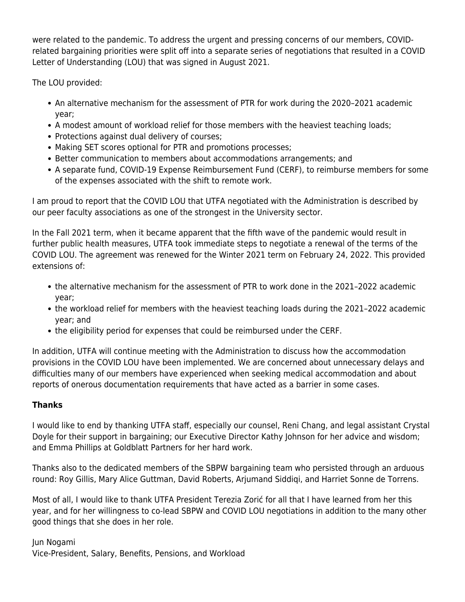were related to the pandemic. To address the urgent and pressing concerns of our members, COVIDrelated bargaining priorities were split off into a separate series of negotiations that resulted in a COVID Letter of Understanding (LOU) that was signed in August 2021.

The LOU provided:

- An alternative mechanism for the assessment of PTR for work during the 2020-2021 academic year;
- A modest amount of workload relief for those members with the heaviest teaching loads;
- Protections against dual delivery of courses;
- Making SET scores optional for PTR and promotions processes;
- Better communication to members about accommodations arrangements; and
- A separate fund, COVID-19 Expense Reimbursement Fund (CERF), to reimburse members for some of the expenses associated with the shift to remote work.

I am proud to report that the COVID LOU that UTFA negotiated with the Administration is described by our peer faculty associations as one of the strongest in the University sector.

In the Fall 2021 term, when it became apparent that the fifth wave of the pandemic would result in further public health measures, UTFA took immediate steps to negotiate a renewal of the terms of the COVID LOU. The agreement was renewed for the Winter 2021 term on February 24, 2022. This provided extensions of:

- the alternative mechanism for the assessment of PTR to work done in the 2021–2022 academic year;
- the workload relief for members with the heaviest teaching loads during the 2021–2022 academic year; and
- the eligibility period for expenses that could be reimbursed under the CERF.

In addition, UTFA will continue meeting with the Administration to discuss how the accommodation provisions in the COVID LOU have been implemented. We are concerned about unnecessary delays and difficulties many of our members have experienced when seeking medical accommodation and about reports of onerous documentation requirements that have acted as a barrier in some cases.

#### **Thanks**

I would like to end by thanking UTFA staff, especially our counsel, Reni Chang, and legal assistant Crystal Doyle for their support in bargaining; our Executive Director Kathy Johnson for her advice and wisdom; and Emma Phillips at Goldblatt Partners for her hard work.

Thanks also to the dedicated members of the SBPW bargaining team who persisted through an arduous round: Roy Gillis, Mary Alice Guttman, David Roberts, Arjumand Siddiqi, and Harriet Sonne de Torrens.

Most of all, I would like to thank UTFA President Terezia Zorić for all that I have learned from her this year, and for her willingness to co-lead SBPW and COVID LOU negotiations in addition to the many other good things that she does in her role.

Jun Nogami Vice-President, Salary, Benefits, Pensions, and Workload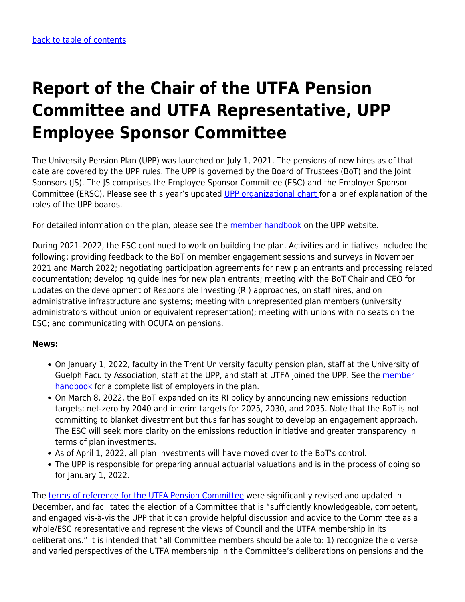# <span id="page-12-0"></span>**Report of the Chair of the UTFA Pension Committee and UTFA Representative, UPP Employee Sponsor Committee**

The University Pension Plan (UPP) was launched on July 1, 2021. The pensions of new hires as of that date are covered by the UPP rules. The UPP is governed by the Board of Trustees (BoT) and the Joint Sponsors (JS). The JS comprises the Employee Sponsor Committee (ESC) and the Employer Sponsor Committee (ERSC). Please see this year's updated [UPP organizational chart f](https://www.utfa.org/sites/default/files/upp_org_chart_march_2022.pdf)or a brief explanation of the roles of the UPP boards.

For detailed information on the plan, please see the [member handbook](https://myupp.ca/wp-content/uploads/2021/06/13838-UPP-Member-Booklet-Dec-2021.pdf) on the UPP website.

During 2021–2022, the ESC continued to work on building the plan. Activities and initiatives included the following: providing feedback to the BoT on member engagement sessions and surveys in November 2021 and March 2022; negotiating participation agreements for new plan entrants and processing related documentation; developing guidelines for new plan entrants; meeting with the BoT Chair and CEO for updates on the development of Responsible Investing (RI) approaches, on staff hires, and on administrative infrastructure and systems; meeting with unrepresented plan members (university administrators without union or equivalent representation); meeting with unions with no seats on the ESC; and communicating with OCUFA on pensions.

#### **News:**

- On January 1, 2022, faculty in the Trent University faculty pension plan, staff at the University of Guelph Faculty Association, staff at the UPP, and staff at UTFA joined the UPP. See the [member](https://myupp.ca/wp-content/uploads/2021/06/13838-UPP-Member-Booklet-Dec-2021.pdf) [handbook](https://myupp.ca/wp-content/uploads/2021/06/13838-UPP-Member-Booklet-Dec-2021.pdf) for a complete list of employers in the plan.
- On March 8, 2022, the BoT expanded on its RI policy by announcing new emissions reduction targets: net-zero by 2040 and interim targets for 2025, 2030, and 2035. Note that the BoT is not committing to blanket divestment but thus far has sought to develop an engagement approach. The ESC will seek more clarity on the emissions reduction initiative and greater transparency in terms of plan investments.
- As of April 1, 2022, all plan investments will have moved over to the BoT's control.
- The UPP is responsible for preparing annual actuarial valuations and is in the process of doing so for January 1, 2022.

The [terms of reference for the UTFA Pension Committee](https://www.utfa.org/content/utfa-pension-committee-revised-terms-reference-0) were significantly revised and updated in December, and facilitated the election of a Committee that is "sufficiently knowledgeable, competent, and engaged vis-à-vis the UPP that it can provide helpful discussion and advice to the Committee as a whole/ESC representative and represent the views of Council and the UTFA membership in its deliberations." It is intended that "all Committee members should be able to: 1) recognize the diverse and varied perspectives of the UTFA membership in the Committee's deliberations on pensions and the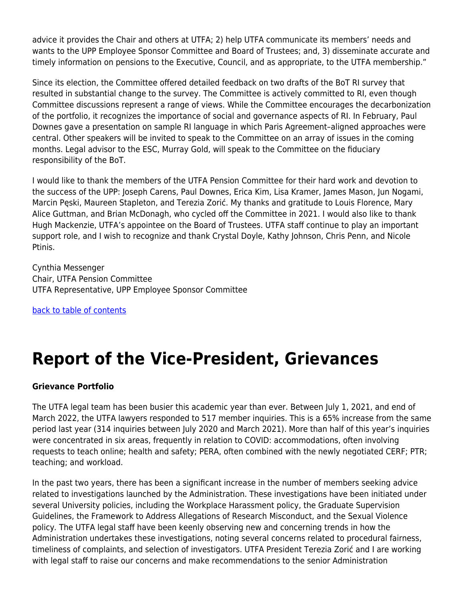advice it provides the Chair and others at UTFA; 2) help UTFA communicate its members' needs and wants to the UPP Employee Sponsor Committee and Board of Trustees; and, 3) disseminate accurate and timely information on pensions to the Executive, Council, and as appropriate, to the UTFA membership."

Since its election, the Committee offered detailed feedback on two drafts of the BoT RI survey that resulted in substantial change to the survey. The Committee is actively committed to RI, even though Committee discussions represent a range of views. While the Committee encourages the decarbonization of the portfolio, it recognizes the importance of social and governance aspects of RI. In February, Paul Downes gave a presentation on sample RI language in which Paris Agreement–aligned approaches were central. Other speakers will be invited to speak to the Committee on an array of issues in the coming months. Legal advisor to the ESC, Murray Gold, will speak to the Committee on the fiduciary responsibility of the BoT.

I would like to thank the members of the UTFA Pension Committee for their hard work and devotion to the success of the UPP: Joseph Carens, Paul Downes, Erica Kim, Lisa Kramer, James Mason, Jun Nogami, Marcin Pęski, Maureen Stapleton, and Terezia Zorić. My thanks and gratitude to Louis Florence, Mary Alice Guttman, and Brian McDonagh, who cycled off the Committee in 2021. I would also like to thank Hugh Mackenzie, UTFA's appointee on the Board of Trustees. UTFA staff continue to play an important support role, and I wish to recognize and thank Crystal Doyle, Kathy Johnson, Chris Penn, and Nicole Ptinis.

Cynthia Messenger Chair, UTFA Pension Committee UTFA Representative, UPP Employee Sponsor Committee

[back to table of contents](#page-0-0)

### <span id="page-13-0"></span>**Report of the Vice-President, Grievances**

#### **Grievance Portfolio**

The UTFA legal team has been busier this academic year than ever. Between July 1, 2021, and end of March 2022, the UTFA lawyers responded to 517 member inquiries. This is a 65% increase from the same period last year (314 inquiries between July 2020 and March 2021). More than half of this year's inquiries were concentrated in six areas, frequently in relation to COVID: accommodations, often involving requests to teach online; health and safety; PERA, often combined with the newly negotiated CERF; PTR; teaching; and workload.

In the past two years, there has been a significant increase in the number of members seeking advice related to investigations launched by the Administration. These investigations have been initiated under several University policies, including the Workplace Harassment policy, the Graduate Supervision Guidelines, the Framework to Address Allegations of Research Misconduct, and the Sexual Violence policy. The UTFA legal staff have been keenly observing new and concerning trends in how the Administration undertakes these investigations, noting several concerns related to procedural fairness, timeliness of complaints, and selection of investigators. UTFA President Terezia Zorić and I are working with legal staff to raise our concerns and make recommendations to the senior Administration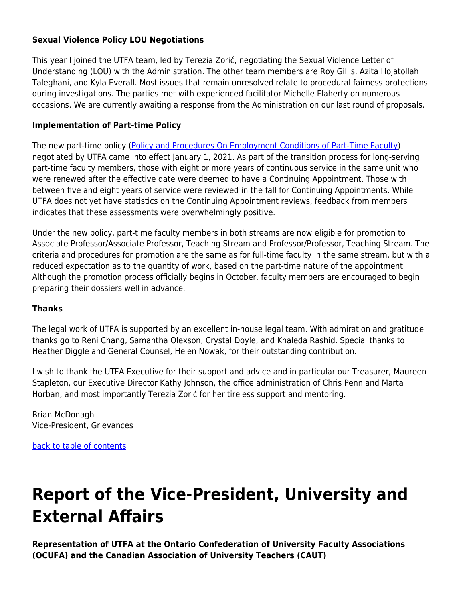#### **Sexual Violence Policy LOU Negotiations**

This year I joined the UTFA team, led by Terezia Zorić, negotiating the Sexual Violence Letter of Understanding (LOU) with the Administration. The other team members are Roy Gillis, Azita Hojatollah Taleghani, and Kyla Everall. Most issues that remain unresolved relate to procedural fairness protections during investigations. The parties met with experienced facilitator Michelle Flaherty on numerous occasions. We are currently awaiting a response from the Administration on our last round of proposals.

#### **Implementation of Part-time Policy**

The new part-time policy [\(Policy and Procedures On Employment Conditions of Part-Time Faculty\)](https://governingcouncil.utoronto.ca/secretariat/policies/part-time-faculty-policy-and-procedures-employment-conditions-january-1-2021) negotiated by UTFA came into effect January 1, 2021. As part of the transition process for long-serving part-time faculty members, those with eight or more years of continuous service in the same unit who were renewed after the effective date were deemed to have a Continuing Appointment. Those with between five and eight years of service were reviewed in the fall for Continuing Appointments. While UTFA does not yet have statistics on the Continuing Appointment reviews, feedback from members indicates that these assessments were overwhelmingly positive.

Under the new policy, part-time faculty members in both streams are now eligible for promotion to Associate Professor/Associate Professor, Teaching Stream and Professor/Professor, Teaching Stream. The criteria and procedures for promotion are the same as for full-time faculty in the same stream, but with a reduced expectation as to the quantity of work, based on the part-time nature of the appointment. Although the promotion process officially begins in October, faculty members are encouraged to begin preparing their dossiers well in advance.

#### **Thanks**

The legal work of UTFA is supported by an excellent in-house legal team. With admiration and gratitude thanks go to Reni Chang, Samantha Olexson, Crystal Doyle, and Khaleda Rashid. Special thanks to Heather Diggle and General Counsel, Helen Nowak, for their outstanding contribution.

I wish to thank the UTFA Executive for their support and advice and in particular our Treasurer, Maureen Stapleton, our Executive Director Kathy Johnson, the office administration of Chris Penn and Marta Horban, and most importantly Terezia Zorić for her tireless support and mentoring.

Brian McDonagh Vice-President, Grievances

[back to table of contents](#page-0-0)

## <span id="page-14-0"></span>**Report of the Vice-President, University and External Affairs**

**Representation of UTFA at the Ontario Confederation of University Faculty Associations (OCUFA) and the Canadian Association of University Teachers (CAUT)**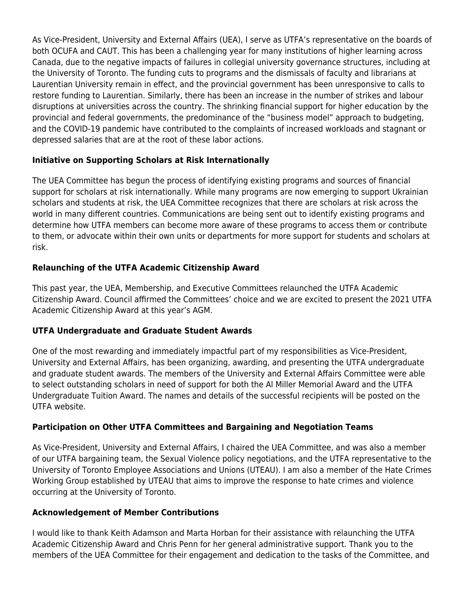As Vice-President, University and External Affairs (UEA), I serve as UTFA's representative on the boards of both OCUFA and CAUT. This has been a challenging year for many institutions of higher learning across Canada, due to the negative impacts of failures in collegial university governance structures, including at the University of Toronto. The funding cuts to programs and the dismissals of faculty and librarians at Laurentian University remain in effect, and the provincial government has been unresponsive to calls to restore funding to Laurentian. Similarly, there has been an increase in the number of strikes and labour disruptions at universities across the country. The shrinking financial support for higher education by the provincial and federal governments, the predominance of the "business model" approach to budgeting, and the COVID-19 pandemic have contributed to the complaints of increased workloads and stagnant or depressed salaries that are at the root of these labor actions.

#### **Initiative on Supporting Scholars at Risk Internationally**

The UEA Committee has begun the process of identifying existing programs and sources of financial support for scholars at risk internationally. While many programs are now emerging to support Ukrainian scholars and students at risk, the UEA Committee recognizes that there are scholars at risk across the world in many different countries. Communications are being sent out to identify existing programs and determine how UTFA members can become more aware of these programs to access them or contribute to them, or advocate within their own units or departments for more support for students and scholars at risk.

#### **Relaunching of the UTFA Academic Citizenship Award**

This past year, the UEA, Membership, and Executive Committees relaunched the UTFA Academic Citizenship Award. Council affirmed the Committees' choice and we are excited to present the 2021 UTFA Academic Citizenship Award at this year's AGM.

#### **UTFA Undergraduate and Graduate Student Awards**

One of the most rewarding and immediately impactful part of my responsibilities as Vice-President, University and External Affairs, has been organizing, awarding, and presenting the UTFA undergraduate and graduate student awards. The members of the University and External Affairs Committee were able to select outstanding scholars in need of support for both the Al Miller Memorial Award and the UTFA Undergraduate Tuition Award. The names and details of the successful recipients will be posted on the UTFA website.

#### **Participation on Other UTFA Committees and Bargaining and Negotiation Teams**

As Vice-President, University and External Affairs, I chaired the UEA Committee, and was also a member of our UTFA bargaining team, the Sexual Violence policy negotiations, and the UTFA representative to the University of Toronto Employee Associations and Unions (UTEAU). I am also a member of the Hate Crimes Working Group established by UTEAU that aims to improve the response to hate crimes and violence occurring at the University of Toronto.

#### **Acknowledgement of Member Contributions**

I would like to thank Keith Adamson and Marta Horban for their assistance with relaunching the UTFA Academic Citizenship Award and Chris Penn for her general administrative support. Thank you to the members of the UEA Committee for their engagement and dedication to the tasks of the Committee, and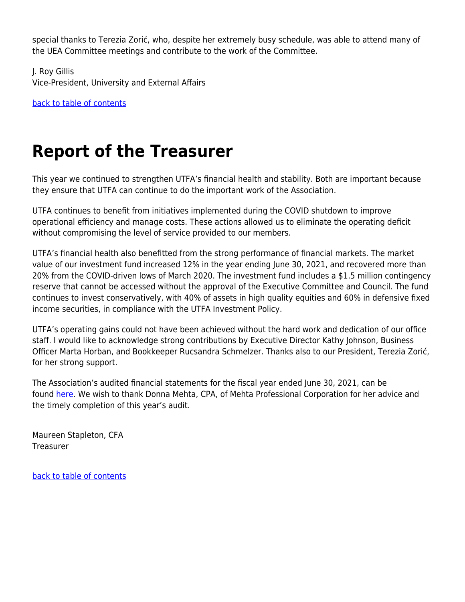special thanks to Terezia Zorić, who, despite her extremely busy schedule, was able to attend many of the UEA Committee meetings and contribute to the work of the Committee.

J. Roy Gillis Vice-President, University and External Affairs

[back to table of contents](#page-0-0)

# <span id="page-16-0"></span>**Report of the Treasurer**

This year we continued to strengthen UTFA's financial health and stability. Both are important because they ensure that UTFA can continue to do the important work of the Association.

UTFA continues to benefit from initiatives implemented during the COVID shutdown to improve operational efficiency and manage costs. These actions allowed us to eliminate the operating deficit without compromising the level of service provided to our members.

UTFA's financial health also benefitted from the strong performance of financial markets. The market value of our investment fund increased 12% in the year ending June 30, 2021, and recovered more than 20% from the COVID-driven lows of March 2020. The investment fund includes a \$1.5 million contingency reserve that cannot be accessed without the approval of the Executive Committee and Council. The fund continues to invest conservatively, with 40% of assets in high quality equities and 60% in defensive fixed income securities, in compliance with the UTFA Investment Policy.

UTFA's operating gains could not have been achieved without the hard work and dedication of our office staff. I would like to acknowledge strong contributions by Executive Director Kathy Johnson, Business Officer Marta Horban, and Bookkeeper Rucsandra Schmelzer. Thanks also to our President, Terezia Zorić, for her strong support.

The Association's audited financial statements for the fiscal year ended June 30, 2021, can be found [here.](https://www.utfa.org/sites/default/files/utfa2021financialstatements.pdf) We wish to thank Donna Mehta, CPA, of Mehta Professional Corporation for her advice and the timely completion of this year's audit.

Maureen Stapleton, CFA Treasurer

<span id="page-16-1"></span>[back to table of contents](#page-0-0)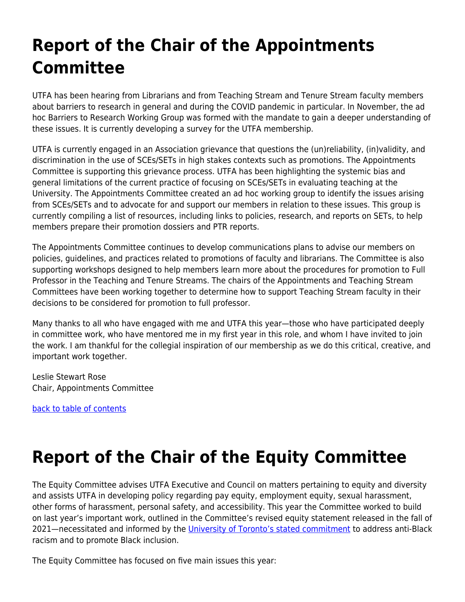# **Report of the Chair of the Appointments Committee**

UTFA has been hearing from Librarians and from Teaching Stream and Tenure Stream faculty members about barriers to research in general and during the COVID pandemic in particular. In November, the ad hoc Barriers to Research Working Group was formed with the mandate to gain a deeper understanding of these issues. It is currently developing a survey for the UTFA membership.

UTFA is currently engaged in an Association grievance that questions the (un)reliability, (in)validity, and discrimination in the use of SCEs/SETs in high stakes contexts such as promotions. The Appointments Committee is supporting this grievance process. UTFA has been highlighting the systemic bias and general limitations of the current practice of focusing on SCEs/SETs in evaluating teaching at the University. The Appointments Committee created an ad hoc working group to identify the issues arising from SCEs/SETs and to advocate for and support our members in relation to these issues. This group is currently compiling a list of resources, including links to policies, research, and reports on SETs, to help members prepare their promotion dossiers and PTR reports.

The Appointments Committee continues to develop communications plans to advise our members on policies, guidelines, and practices related to promotions of faculty and librarians. The Committee is also supporting workshops designed to help members learn more about the procedures for promotion to Full Professor in the Teaching and Tenure Streams. The chairs of the Appointments and Teaching Stream Committees have been working together to determine how to support Teaching Stream faculty in their decisions to be considered for promotion to full professor.

Many thanks to all who have engaged with me and UTFA this year—those who have participated deeply in committee work, who have mentored me in my first year in this role, and whom I have invited to join the work. I am thankful for the collegial inspiration of our membership as we do this critical, creative, and important work together.

Leslie Stewart Rose Chair, Appointments Committee

[back to table of contents](#page-0-0)

# <span id="page-17-0"></span>**Report of the Chair of the Equity Committee**

The Equity Committee advises UTFA Executive and Council on matters pertaining to equity and diversity and assists UTFA in developing policy regarding pay equity, employment equity, sexual harassment, other forms of harassment, personal safety, and accessibility. This year the Committee worked to build on last year's important work, outlined in the Committee's revised equity statement released in the fall of 2021—necessitated and informed by the [University of Toronto's stated commitment](https://people.utoronto.ca/inclusion/anti-racism-strategic-tables/anti-black-racism-task-force/) to address anti-Black racism and to promote Black inclusion.

The Equity Committee has focused on five main issues this year: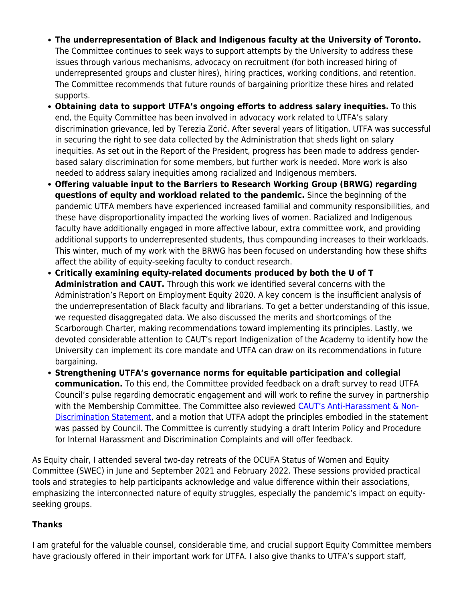- **The underrepresentation of Black and Indigenous faculty at the University of Toronto.** The Committee continues to seek ways to support attempts by the University to address these issues through various mechanisms, advocacy on recruitment (for both increased hiring of underrepresented groups and cluster hires), hiring practices, working conditions, and retention. The Committee recommends that future rounds of bargaining prioritize these hires and related supports.
- **Obtaining data to support UTFA's ongoing efforts to address salary inequities.** To this end, the Equity Committee has been involved in advocacy work related to UTFA's salary discrimination grievance, led by Terezia Zorić. After several years of litigation, UTFA was successful in securing the right to see data collected by the Administration that sheds light on salary inequities. As set out in the Report of the President, progress has been made to address genderbased salary discrimination for some members, but further work is needed. More work is also needed to address salary inequities among racialized and Indigenous members.
- **Offering valuable input to the Barriers to Research Working Group (BRWG) regarding questions of equity and workload related to the pandemic.** Since the beginning of the pandemic UTFA members have experienced increased familial and community responsibilities, and these have disproportionality impacted the working lives of women. Racialized and Indigenous faculty have additionally engaged in more affective labour, extra committee work, and providing additional supports to underrepresented students, thus compounding increases to their workloads. This winter, much of my work with the BRWG has been focused on understanding how these shifts affect the ability of equity-seeking faculty to conduct research.
- **Critically examining equity-related documents produced by both the U of T Administration and CAUT.** Through this work we identified several concerns with the Administration's Report on Employment Equity 2020. A key concern is the insufficient analysis of the underrepresentation of Black faculty and librarians. To get a better understanding of this issue, we requested disaggregated data. We also discussed the merits and shortcomings of the Scarborough Charter, making recommendations toward implementing its principles. Lastly, we devoted considerable attention to CAUT's report Indigenization of the Academy to identify how the University can implement its core mandate and UTFA can draw on its recommendations in future bargaining.
- **Strengthening UTFA's governance norms for equitable participation and collegial communication.** To this end, the Committee provided feedback on a draft survey to read UTFA Council's pulse regarding democratic engagement and will work to refine the survey in partnership with the Membership Committee. The Committee also reviewed [CAUT's Anti-Harassment & Non-](https://www.caut.ca/about-us/caut-policy/lists/administrative-procedures-and-guidelines/caut-anti-harassment-statement)[Discrimination Statement](https://www.caut.ca/about-us/caut-policy/lists/administrative-procedures-and-guidelines/caut-anti-harassment-statement), and a motion that UTFA adopt the principles embodied in the statement was passed by Council. The Committee is currently studying a draft Interim Policy and Procedure for Internal Harassment and Discrimination Complaints and will offer feedback.

As Equity chair, I attended several two-day retreats of the OCUFA Status of Women and Equity Committee (SWEC) in June and September 2021 and February 2022. These sessions provided practical tools and strategies to help participants acknowledge and value difference within their associations, emphasizing the interconnected nature of equity struggles, especially the pandemic's impact on equityseeking groups.

#### **Thanks**

I am grateful for the valuable counsel, considerable time, and crucial support Equity Committee members have graciously offered in their important work for UTFA. I also give thanks to UTFA's support staff,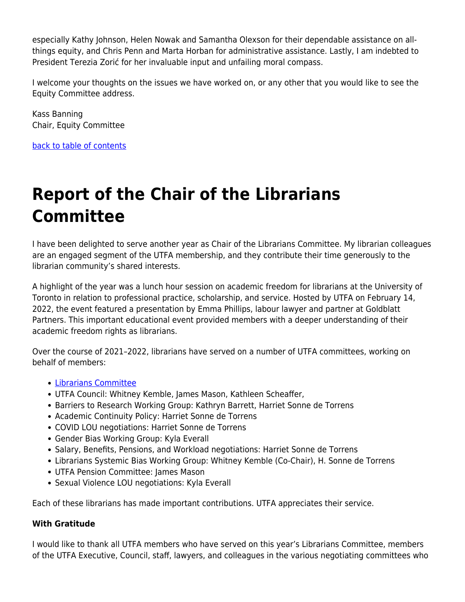especially Kathy Johnson, Helen Nowak and Samantha Olexson for their dependable assistance on allthings equity, and Chris Penn and Marta Horban for administrative assistance. Lastly, I am indebted to President Terezia Zorić for her invaluable input and unfailing moral compass.

I welcome your thoughts on the issues we have worked on, or any other that you would like to see the Equity Committee address.

Kass Banning Chair, Equity Committee

[back to table of contents](#page-0-0)

# <span id="page-19-0"></span>**Report of the Chair of the Librarians Committee**

I have been delighted to serve another year as Chair of the Librarians Committee. My librarian colleagues are an engaged segment of the UTFA membership, and they contribute their time generously to the librarian community's shared interests.

A highlight of the year was a lunch hour session on academic freedom for librarians at the University of Toronto in relation to professional practice, scholarship, and service. Hosted by UTFA on February 14, 2022, the event featured a presentation by Emma Phillips, labour lawyer and partner at Goldblatt Partners. This important educational event provided members with a deeper understanding of their academic freedom rights as librarians.

Over the course of 2021–2022, librarians have served on a number of UTFA committees, working on behalf of members:

- **· [Librarians Committee](https://www.utfa.org/content/librarians-committee)**
- UTFA Council: Whitney Kemble, James Mason, Kathleen Scheaffer,
- Barriers to Research Working Group: Kathryn Barrett, Harriet Sonne de Torrens
- Academic Continuity Policy: Harriet Sonne de Torrens
- COVID LOU negotiations: Harriet Sonne de Torrens
- Gender Bias Working Group: Kyla Everall
- Salary, Benefits, Pensions, and Workload negotiations: Harriet Sonne de Torrens
- Librarians Systemic Bias Working Group: Whitney Kemble (Co-Chair), H. Sonne de Torrens
- UTFA Pension Committee: James Mason
- Sexual Violence LOU negotiations: Kyla Everall

Each of these librarians has made important contributions. UTFA appreciates their service.

#### **With Gratitude**

I would like to thank all UTFA members who have served on this year's Librarians Committee, members of the UTFA Executive, Council, staff, lawyers, and colleagues in the various negotiating committees who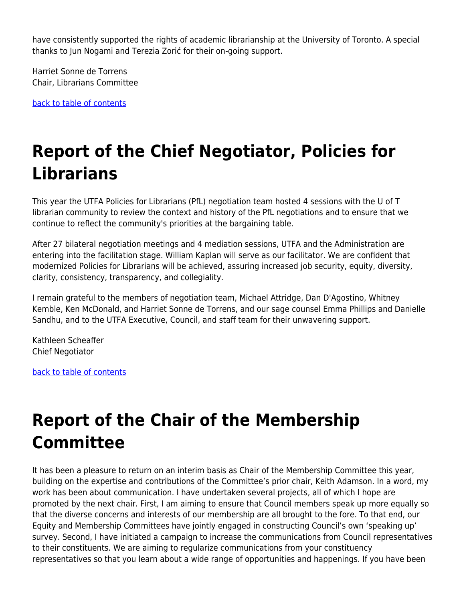have consistently supported the rights of academic librarianship at the University of Toronto. A special thanks to Jun Nogami and Terezia Zorić for their on-going support.

Harriet Sonne de Torrens Chair, Librarians Committee

[back to table of contents](#page-0-0)

# <span id="page-20-0"></span>**Report of the Chief Negotiator, Policies for Librarians**

This year the UTFA Policies for Librarians (PfL) negotiation team hosted 4 sessions with the U of T librarian community to review the context and history of the PfL negotiations and to ensure that we continue to reflect the community's priorities at the bargaining table.

After 27 bilateral negotiation meetings and 4 mediation sessions, UTFA and the Administration are entering into the facilitation stage. William Kaplan will serve as our facilitator. We are confident that modernized Policies for Librarians will be achieved, assuring increased job security, equity, diversity, clarity, consistency, transparency, and collegiality.

I remain grateful to the members of negotiation team, Michael Attridge, Dan D'Agostino, Whitney Kemble, Ken McDonald, and Harriet Sonne de Torrens, and our sage counsel Emma Phillips and Danielle Sandhu, and to the UTFA Executive, Council, and staff team for their unwavering support.

Kathleen Scheaffer Chief Negotiator

[back to table of contents](#page-0-0)

### <span id="page-20-1"></span>**Report of the Chair of the Membership Committee**

It has been a pleasure to return on an interim basis as Chair of the Membership Committee this year, building on the expertise and contributions of the Committee's prior chair, Keith Adamson. In a word, my work has been about communication. I have undertaken several projects, all of which I hope are promoted by the next chair. First, I am aiming to ensure that Council members speak up more equally so that the diverse concerns and interests of our membership are all brought to the fore. To that end, our Equity and Membership Committees have jointly engaged in constructing Council's own 'speaking up' survey. Second, I have initiated a campaign to increase the communications from Council representatives to their constituents. We are aiming to regularize communications from your constituency representatives so that you learn about a wide range of opportunities and happenings. If you have been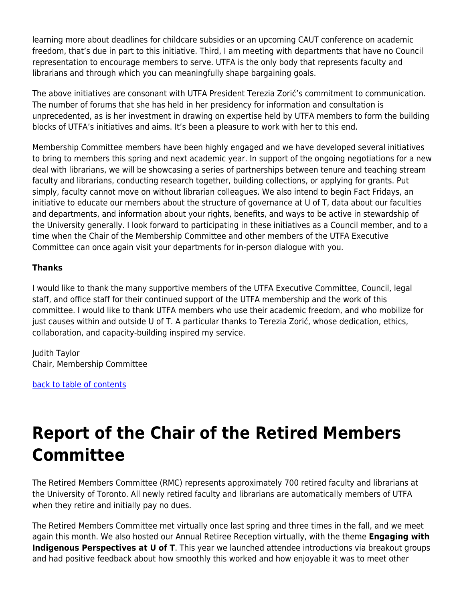learning more about deadlines for childcare subsidies or an upcoming CAUT conference on academic freedom, that's due in part to this initiative. Third, I am meeting with departments that have no Council representation to encourage members to serve. UTFA is the only body that represents faculty and librarians and through which you can meaningfully shape bargaining goals.

The above initiatives are consonant with UTFA President Terezia Zorić's commitment to communication. The number of forums that she has held in her presidency for information and consultation is unprecedented, as is her investment in drawing on expertise held by UTFA members to form the building blocks of UTFA's initiatives and aims. It's been a pleasure to work with her to this end.

Membership Committee members have been highly engaged and we have developed several initiatives to bring to members this spring and next academic year. In support of the ongoing negotiations for a new deal with librarians, we will be showcasing a series of partnerships between tenure and teaching stream faculty and librarians, conducting research together, building collections, or applying for grants. Put simply, faculty cannot move on without librarian colleagues. We also intend to begin Fact Fridays, an initiative to educate our members about the structure of governance at U of T, data about our faculties and departments, and information about your rights, benefits, and ways to be active in stewardship of the University generally. I look forward to participating in these initiatives as a Council member, and to a time when the Chair of the Membership Committee and other members of the UTFA Executive Committee can once again visit your departments for in-person dialogue with you.

#### **Thanks**

I would like to thank the many supportive members of the UTFA Executive Committee, Council, legal staff, and office staff for their continued support of the UTFA membership and the work of this committee. I would like to thank UTFA members who use their academic freedom, and who mobilize for just causes within and outside U of T. A particular thanks to Terezia Zorić, whose dedication, ethics, collaboration, and capacity-building inspired my service.

Judith Taylor Chair, Membership Committee

[back to table of contents](#page-0-0)

## <span id="page-21-0"></span>**Report of the Chair of the Retired Members Committee**

The Retired Members Committee (RMC) represents approximately 700 retired faculty and librarians at the University of Toronto. All newly retired faculty and librarians are automatically members of UTFA when they retire and initially pay no dues.

The Retired Members Committee met virtually once last spring and three times in the fall, and we meet again this month. We also hosted our Annual Retiree Reception virtually, with the theme **Engaging with Indigenous Perspectives at U of T**. This year we launched attendee introductions via breakout groups and had positive feedback about how smoothly this worked and how enjoyable it was to meet other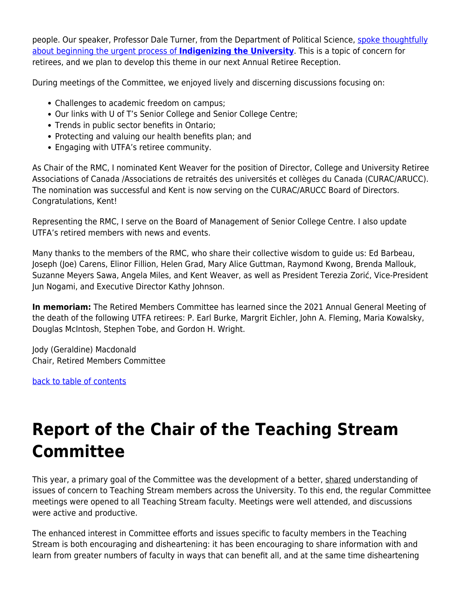people. Our speaker, Professor Dale Turner, from the Department of Political Science, [spoke thoughtfully](https://www.utfa.org/sites/default/files/dale-turner_0.m4a) [about beginning the urgent process of](https://www.utfa.org/sites/default/files/dale-turner_0.m4a) **[Indigenizing the University](https://www.utfa.org/sites/default/files/dale-turner_0.m4a)**. This is a topic of concern for retirees, and we plan to develop this theme in our next Annual Retiree Reception.

During meetings of the Committee, we enjoyed lively and discerning discussions focusing on:

- Challenges to academic freedom on campus;
- Our links with U of T's Senior College and Senior College Centre;
- Trends in public sector benefits in Ontario;
- Protecting and valuing our health benefits plan; and
- Engaging with UTFA's retiree community.

As Chair of the RMC, I nominated Kent Weaver for the position of Director, College and University Retiree Associations of Canada /Associations de retraités des universités et collèges du Canada (CURAC/ARUCC). The nomination was successful and Kent is now serving on the CURAC/ARUCC Board of Directors. Congratulations, Kent!

Representing the RMC, I serve on the Board of Management of Senior College Centre. I also update UTFA's retired members with news and events.

Many thanks to the members of the RMC, who share their collective wisdom to guide us: Ed Barbeau, Joseph (Joe) Carens, Elinor Fillion, Helen Grad, Mary Alice Guttman, Raymond Kwong, Brenda Mallouk, Suzanne Meyers Sawa, Angela Miles, and Kent Weaver, as well as President Terezia Zorić, Vice-President Jun Nogami, and Executive Director Kathy Johnson.

**In memoriam:** The Retired Members Committee has learned since the 2021 Annual General Meeting of the death of the following UTFA retirees: P. Earl Burke, Margrit Eichler, John A. Fleming, Maria Kowalsky, Douglas McIntosh, Stephen Tobe, and Gordon H. Wright.

Jody (Geraldine) Macdonald Chair, Retired Members Committee

[back to table of contents](#page-0-0)

## <span id="page-22-0"></span>**Report of the Chair of the Teaching Stream Committee**

This year, a primary goal of the Committee was the development of a better, shared understanding of issues of concern to Teaching Stream members across the University. To this end, the regular Committee meetings were opened to all Teaching Stream faculty. Meetings were well attended, and discussions were active and productive.

The enhanced interest in Committee efforts and issues specific to faculty members in the Teaching Stream is both encouraging and disheartening: it has been encouraging to share information with and learn from greater numbers of faculty in ways that can benefit all, and at the same time disheartening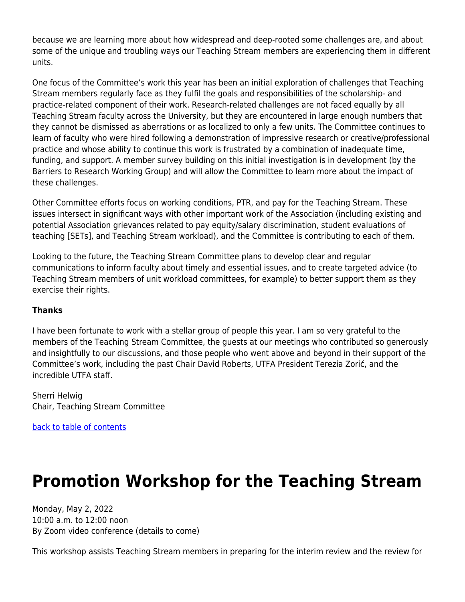because we are learning more about how widespread and deep-rooted some challenges are, and about some of the unique and troubling ways our Teaching Stream members are experiencing them in different units.

One focus of the Committee's work this year has been an initial exploration of challenges that Teaching Stream members regularly face as they fulfil the goals and responsibilities of the scholarship- and practice-related component of their work. Research-related challenges are not faced equally by all Teaching Stream faculty across the University, but they are encountered in large enough numbers that they cannot be dismissed as aberrations or as localized to only a few units. The Committee continues to learn of faculty who were hired following a demonstration of impressive research or creative/professional practice and whose ability to continue this work is frustrated by a combination of inadequate time, funding, and support. A member survey building on this initial investigation is in development (by the Barriers to Research Working Group) and will allow the Committee to learn more about the impact of these challenges.

Other Committee efforts focus on working conditions, PTR, and pay for the Teaching Stream. These issues intersect in significant ways with other important work of the Association (including existing and potential Association grievances related to pay equity/salary discrimination, student evaluations of teaching [SETs], and Teaching Stream workload), and the Committee is contributing to each of them.

Looking to the future, the Teaching Stream Committee plans to develop clear and regular communications to inform faculty about timely and essential issues, and to create targeted advice (to Teaching Stream members of unit workload committees, for example) to better support them as they exercise their rights.

#### **Thanks**

I have been fortunate to work with a stellar group of people this year. I am so very grateful to the members of the Teaching Stream Committee, the guests at our meetings who contributed so generously and insightfully to our discussions, and those people who went above and beyond in their support of the Committee's work, including the past Chair David Roberts, UTFA President Terezia Zorić, and the incredible UTFA staff.

Sherri Helwig Chair, Teaching Stream Committee

[back to table of contents](#page-0-0)

### <span id="page-23-0"></span>**Promotion Workshop for the Teaching Stream**

Monday, May 2, 2022 10:00 a.m. to 12:00 noon By Zoom video conference (details to come)

This workshop assists Teaching Stream members in preparing for the interim review and the review for